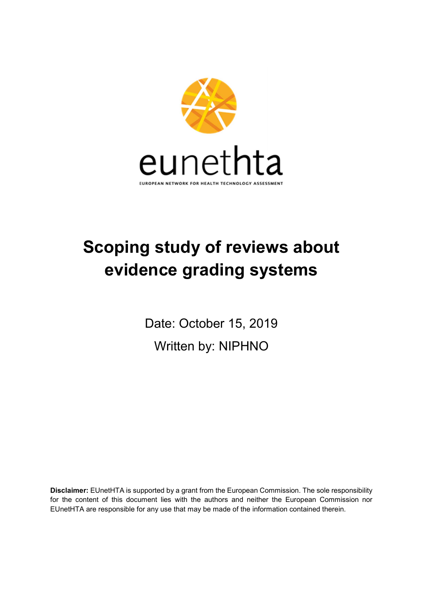

# Scoping study of reviews about evidence grading systems

Date: October 15, 2019 Written by: NIPHNO

Disclaimer: EUnetHTA is supported by a grant from the European Commission. The sole responsibility for the content of this document lies with the authors and neither the European Commission nor EUnetHTA are responsible for any use that may be made of the information contained therein.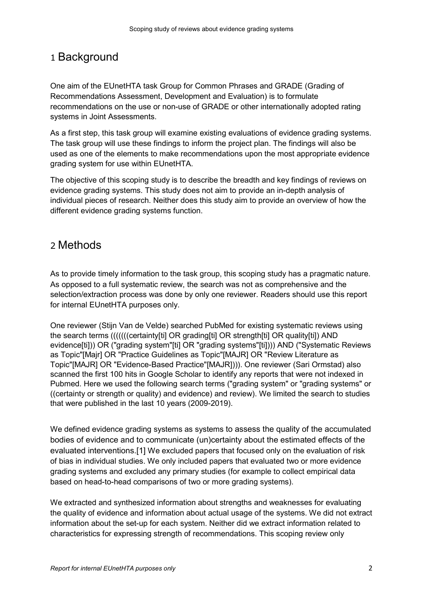# 1 Background

One aim of the EUnetHTA task Group for Common Phrases and GRADE (Grading of Recommendations Assessment, Development and Evaluation) is to formulate recommendations on the use or non-use of GRADE or other internationally adopted rating systems in Joint Assessments.

As a first step, this task group will examine existing evaluations of evidence grading systems. The task group will use these findings to inform the project plan. The findings will also be used as one of the elements to make recommendations upon the most appropriate evidence grading system for use within EUnetHTA.

The objective of this scoping study is to describe the breadth and key findings of reviews on evidence grading systems. This study does not aim to provide an in-depth analysis of individual pieces of research. Neither does this study aim to provide an overview of how the different evidence grading systems function.

# 2 Methods

As to provide timely information to the task group, this scoping study has a pragmatic nature. As opposed to a full systematic review, the search was not as comprehensive and the selection/extraction process was done by only one reviewer. Readers should use this report for internal EUnetHTA purposes only.

One reviewer (Stijn Van de Velde) searched PubMed for existing systematic reviews using the search terms (((((((certainty[ti] OR grading[ti] OR strength[ti] OR quality[ti]) AND evidence[ti])) OR ("grading system"[ti] OR "grading systems"[ti]))) AND ("Systematic Reviews as Topic"[Majr] OR "Practice Guidelines as Topic"[MAJR] OR "Review Literature as Topic"[MAJR] OR "Evidence-Based Practice"[MAJR]))). One reviewer (Sari Ormstad) also scanned the first 100 hits in Google Scholar to identify any reports that were not indexed in Pubmed. Here we used the following search terms ("grading system" or "grading systems" or ((certainty or strength or quality) and evidence) and review). We limited the search to studies that were published in the last 10 years (2009-2019).

We defined evidence grading systems as systems to assess the quality of the accumulated bodies of evidence and to communicate (un)certainty about the estimated effects of the evaluated interventions.[1] We excluded papers that focused only on the evaluation of risk of bias in individual studies. We only included papers that evaluated two or more evidence grading systems and excluded any primary studies (for example to collect empirical data based on head-to-head comparisons of two or more grading systems).

We extracted and synthesized information about strengths and weaknesses for evaluating the quality of evidence and information about actual usage of the systems. We did not extract information about the set-up for each system. Neither did we extract information related to characteristics for expressing strength of recommendations. This scoping review only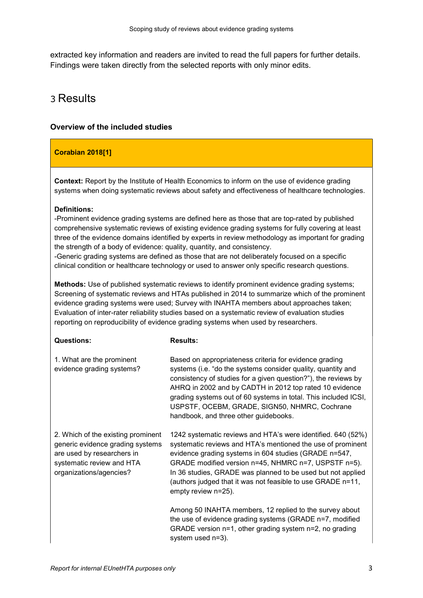extracted key information and readers are invited to read the full papers for further details. Findings were taken directly from the selected reports with only minor edits.

# 3 Results

# Overview of the included studies

# Corabian 2018[1]

Context: Report by the Institute of Health Economics to inform on the use of evidence grading systems when doing systematic reviews about safety and effectiveness of healthcare technologies.

# Definitions:

-Prominent evidence grading systems are defined here as those that are top-rated by published comprehensive systematic reviews of existing evidence grading systems for fully covering at least three of the evidence domains identified by experts in review methodology as important for grading the strength of a body of evidence: quality, quantity, and consistency.

-Generic grading systems are defined as those that are not deliberately focused on a specific clinical condition or healthcare technology or used to answer only specific research questions.

Methods: Use of published systematic reviews to identify prominent evidence grading systems; Screening of systematic reviews and HTAs published in 2014 to summarize which of the prominent evidence grading systems were used; Survey with INAHTA members about approaches taken; Evaluation of inter-rater reliability studies based on a systematic review of evaluation studies reporting on reproducibility of evidence grading systems when used by researchers.

### Questions:

#### Results:

| 1. What are the prominent<br>evidence grading systems?                                                                                                       | Based on appropriateness criteria for evidence grading<br>systems (i.e. "do the systems consider quality, quantity and<br>consistency of studies for a given question?"), the reviews by<br>AHRQ in 2002 and by CADTH in 2012 top rated 10 evidence<br>grading systems out of 60 systems in total. This included ICSI,<br>USPSTF, OCEBM, GRADE, SIGN50, NHMRC, Cochrane<br>handbook, and three other guidebooks. |
|--------------------------------------------------------------------------------------------------------------------------------------------------------------|------------------------------------------------------------------------------------------------------------------------------------------------------------------------------------------------------------------------------------------------------------------------------------------------------------------------------------------------------------------------------------------------------------------|
| 2. Which of the existing prominent<br>generic evidence grading systems<br>are used by researchers in<br>systematic review and HTA<br>organizations/agencies? | 1242 systematic reviews and HTA's were identified. 640 (52%)<br>systematic reviews and HTA's mentioned the use of prominent<br>evidence grading systems in 604 studies (GRADE n=547,<br>GRADE modified version n=45, NHMRC n=7, USPSTF n=5).<br>In 36 studies, GRADE was planned to be used but not applied<br>(authors judged that it was not feasible to use GRADE n=11,<br>empty review n=25).                |
|                                                                                                                                                              | Among 50 INAHTA members, 12 replied to the survey about<br>the use of evidence grading systems (GRADE n=7, modified<br>GRADE version n=1, other grading system n=2, no grading                                                                                                                                                                                                                                   |

system used n=3).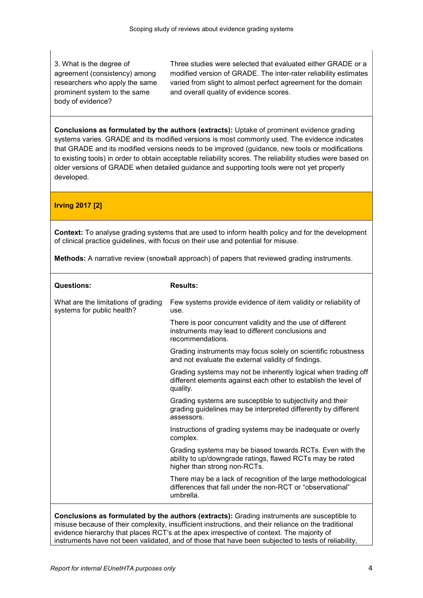3. What is the degree of agreement (consistency) among researchers who apply the same prominent system to the same body of evidence?

Three studies were selected that evaluated either GRADE or a modified version of GRADE. The inter-rater reliability estimates varied from slight to almost perfect agreement for the domain and overall quality of evidence scores.

Conclusions as formulated by the authors (extracts): Uptake of prominent evidence grading systems varies. GRADE and its modified versions is most commonly used. The evidence indicates that GRADE and its modified versions needs to be improved (guidance, new tools or modifications to existing tools) in order to obtain acceptable reliability scores. The reliability studies were based on older versions of GRADE when detailed guidance and supporting tools were not yet properly developed.

Irving 2017 [2]

Context: To analyse grading systems that are used to inform health policy and for the development of clinical practice guidelines, with focus on their use and potential for misuse.

Methods: A narrative review (snowball approach) of papers that reviewed grading instruments.

| <b>Questions:</b>                                                                                                                                                                                                                                                                                | <b>Results:</b>                                                                                                                                        |
|--------------------------------------------------------------------------------------------------------------------------------------------------------------------------------------------------------------------------------------------------------------------------------------------------|--------------------------------------------------------------------------------------------------------------------------------------------------------|
| What are the limitations of grading<br>systems for public health?                                                                                                                                                                                                                                | Few systems provide evidence of item validity or reliability of<br>use.                                                                                |
|                                                                                                                                                                                                                                                                                                  | There is poor concurrent validity and the use of different<br>instruments may lead to different conclusions and<br>recommendations.                    |
|                                                                                                                                                                                                                                                                                                  | Grading instruments may focus solely on scientific robustness<br>and not evaluate the external validity of findings.                                   |
|                                                                                                                                                                                                                                                                                                  | Grading systems may not be inherently logical when trading off<br>different elements against each other to establish the level of<br>quality.          |
|                                                                                                                                                                                                                                                                                                  | Grading systems are susceptible to subjectivity and their<br>grading guidelines may be interpreted differently by different<br>assessors.              |
|                                                                                                                                                                                                                                                                                                  | Instructions of grading systems may be inadequate or overly<br>complex.                                                                                |
|                                                                                                                                                                                                                                                                                                  | Grading systems may be biased towards RCTs. Even with the<br>ability to up/downgrade ratings, flawed RCTs may be rated<br>higher than strong non-RCTs. |
|                                                                                                                                                                                                                                                                                                  | There may be a lack of recognition of the large methodological<br>differences that fall under the non-RCT or "observational"<br>umbrella.              |
| Conclusions as formulated by the authors (extracts): Grading instruments are susceptible to<br>misuse because of their complexity, insufficient instructions, and their reliance on the traditional<br>evidence hierarchy that places RCT's at the apex irrespective of context. The majority of |                                                                                                                                                        |

instruments have not been validated, and of those that have been subjected to tests of reliability,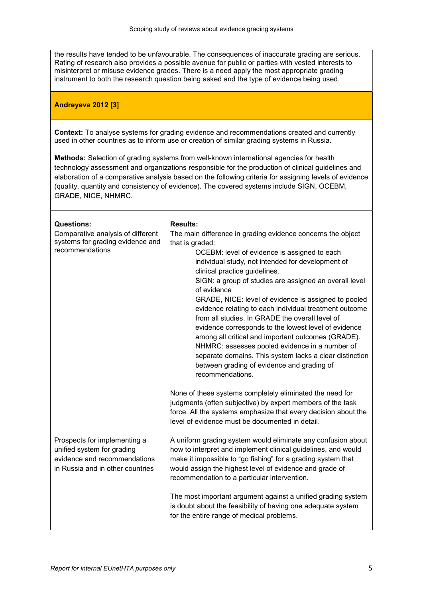the results have tended to be unfavourable. The consequences of inaccurate grading are serious. Rating of research also provides a possible avenue for public or parties with vested interests to misinterpret or misuse evidence grades. There is a need apply the most appropriate grading instrument to both the research question being asked and the type of evidence being used.

# Andreyeva 2012 [3]

Context: To analyse systems for grading evidence and recommendations created and currently used in other countries as to inform use or creation of similar grading systems in Russia.

Methods: Selection of grading systems from well-known international agencies for health technology assessment and organizations responsible for the production of clinical guidelines and elaboration of a comparative analysis based on the following criteria for assigning levels of evidence (quality, quantity and consistency of evidence). The covered systems include SIGN, OCEBM, GRADE, NICE, NHMRC.

| <b>Questions:</b><br>Comparative analysis of different<br>systems for grading evidence and<br>recommendations                  | <b>Results:</b><br>The main difference in grading evidence concerns the object<br>that is graded:<br>OCEBM: level of evidence is assigned to each<br>individual study, not intended for development of<br>clinical practice guidelines.<br>SIGN: a group of studies are assigned an overall level<br>of evidence<br>GRADE, NICE: level of evidence is assigned to pooled<br>evidence relating to each individual treatment outcome<br>from all studies. In GRADE the overall level of<br>evidence corresponds to the lowest level of evidence<br>among all critical and important outcomes (GRADE).<br>NHMRC: assesses pooled evidence in a number of<br>separate domains. This system lacks a clear distinction<br>between grading of evidence and grading of<br>recommendations. |
|--------------------------------------------------------------------------------------------------------------------------------|------------------------------------------------------------------------------------------------------------------------------------------------------------------------------------------------------------------------------------------------------------------------------------------------------------------------------------------------------------------------------------------------------------------------------------------------------------------------------------------------------------------------------------------------------------------------------------------------------------------------------------------------------------------------------------------------------------------------------------------------------------------------------------|
|                                                                                                                                | None of these systems completely eliminated the need for<br>judgments (often subjective) by expert members of the task<br>force. All the systems emphasize that every decision about the<br>level of evidence must be documented in detail.                                                                                                                                                                                                                                                                                                                                                                                                                                                                                                                                        |
| Prospects for implementing a<br>unified system for grading<br>evidence and recommendations<br>in Russia and in other countries | A uniform grading system would eliminate any confusion about<br>how to interpret and implement clinical guidelines, and would<br>make it impossible to "go fishing" for a grading system that<br>would assign the highest level of evidence and grade of<br>recommendation to a particular intervention.                                                                                                                                                                                                                                                                                                                                                                                                                                                                           |
|                                                                                                                                | The most important argument against a unified grading system<br>is doubt about the feasibility of having one adequate system<br>for the entire range of medical problems.                                                                                                                                                                                                                                                                                                                                                                                                                                                                                                                                                                                                          |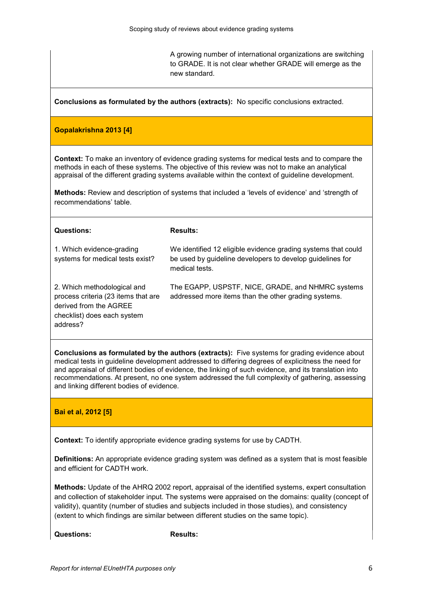A growing number of international organizations are switching to GRADE. It is not clear whether GRADE will emerge as the new standard.

Conclusions as formulated by the authors (extracts): No specific conclusions extracted.

### Gopalakrishna 2013 [4]

Context: To make an inventory of evidence grading systems for medical tests and to compare the methods in each of these systems. The objective of this review was not to make an analytical appraisal of the different grading systems available within the context of guideline development.

Methods: Review and description of systems that included a 'levels of evidence' and 'strength of recommendations' table.

| <b>Questions:</b>                                                                                                                       | <b>Results:</b>                                                                                                                              |
|-----------------------------------------------------------------------------------------------------------------------------------------|----------------------------------------------------------------------------------------------------------------------------------------------|
| 1. Which evidence-grading<br>systems for medical tests exist?                                                                           | We identified 12 eligible evidence grading systems that could<br>be used by guideline developers to develop guidelines for<br>medical tests. |
| 2. Which methodological and<br>process criteria (23 items that are<br>derived from the AGREE<br>checklist) does each system<br>address? | The EGAPP, USPSTF, NICE, GRADE, and NHMRC systems<br>addressed more items than the other grading systems.                                    |

Conclusions as formulated by the authors (extracts): Five systems for grading evidence about medical tests in guideline development addressed to differing degrees of explicitness the need for and appraisal of different bodies of evidence, the linking of such evidence, and its translation into recommendations. At present, no one system addressed the full complexity of gathering, assessing and linking different bodies of evidence.

### Bai et al, 2012 [5]

Context: To identify appropriate evidence grading systems for use by CADTH.

Definitions: An appropriate evidence grading system was defined as a system that is most feasible and efficient for CADTH work.

Methods: Update of the AHRQ 2002 report, appraisal of the identified systems, expert consultation and collection of stakeholder input. The systems were appraised on the domains: quality (concept of validity), quantity (number of studies and subjects included in those studies), and consistency (extent to which findings are similar between different studies on the same topic).

Questions: Results: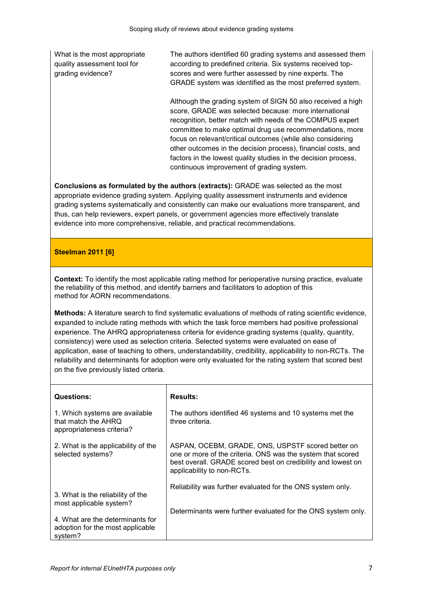What is the most appropriate quality assessment tool for grading evidence?

The authors identified 60 grading systems and assessed them according to predefined criteria. Six systems received topscores and were further assessed by nine experts. The GRADE system was identified as the most preferred system.

Although the grading system of SIGN 50 also received a high score, GRADE was selected because: more international recognition, better match with needs of the COMPUS expert committee to make optimal drug use recommendations, more focus on relevant/critical outcomes (while also considering other outcomes in the decision process), financial costs, and factors in the lowest quality studies in the decision process, continuous improvement of grading system.

Conclusions as formulated by the authors (extracts): GRADE was selected as the most appropriate evidence grading system. Applying quality assessment instruments and evidence grading systems systematically and consistently can make our evaluations more transparent, and thus, can help reviewers, expert panels, or government agencies more effectively translate evidence into more comprehensive, reliable, and practical recommendations.

# Steelman 2011 [6]

Context: To identify the most applicable rating method for perioperative nursing practice, evaluate the reliability of this method, and identify barriers and facilitators to adoption of this method for AORN recommendations.

Methods: A literature search to find systematic evaluations of methods of rating scientific evidence, expanded to include rating methods with which the task force members had positive professional experience. The AHRQ appropriateness criteria for evidence grading systems (quality, quantity, consistency) were used as selection criteria. Selected systems were evaluated on ease of application, ease of teaching to others, understandability, credibility, applicability to non-RCTs. The reliability and determinants for adoption were only evaluated for the rating system that scored best on the five previously listed criteria.

| <b>Questions:</b>                                                                  | <b>Results:</b>                                                                                                                                                                                                |
|------------------------------------------------------------------------------------|----------------------------------------------------------------------------------------------------------------------------------------------------------------------------------------------------------------|
| 1. Which systems are available<br>that match the AHRQ<br>appropriateness criteria? | The authors identified 46 systems and 10 systems met the<br>three criteria.                                                                                                                                    |
| 2. What is the applicability of the<br>selected systems?                           | ASPAN, OCEBM, GRADE, ONS, USPSTF scored better on<br>one or more of the criteria. ONS was the system that scored<br>best overall. GRADE scored best on credibility and lowest on<br>applicability to non-RCTs. |
|                                                                                    | Reliability was further evaluated for the ONS system only.                                                                                                                                                     |
| 3. What is the reliability of the<br>most applicable system?                       |                                                                                                                                                                                                                |
| 4. What are the determinants for<br>adoption for the most applicable<br>system?    | Determinants were further evaluated for the ONS system only.                                                                                                                                                   |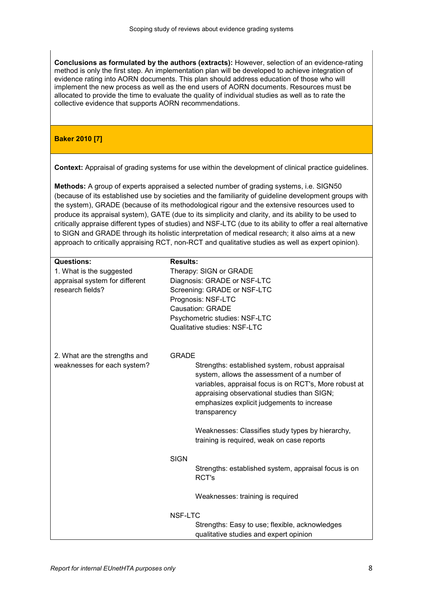Conclusions as formulated by the authors (extracts): However, selection of an evidence-rating method is only the first step. An implementation plan will be developed to achieve integration of evidence rating into AORN documents. This plan should address education of those who will implement the new process as well as the end users of AORN documents. Resources must be allocated to provide the time to evaluate the quality of individual studies as well as to rate the collective evidence that supports AORN recommendations.

# Baker 2010 [7]

Context: Appraisal of grading systems for use within the development of clinical practice guidelines.

Methods: A group of experts appraised a selected number of grading systems, i.e. SIGN50 (because of its established use by societies and the familiarity of guideline development groups with the system), GRADE (because of its methodological rigour and the extensive resources used to produce its appraisal system), GATE (due to its simplicity and clarity, and its ability to be used to critically appraise different types of studies) and NSF-LTC (due to its ability to offer a real alternative to SIGN and GRADE through its holistic interpretation of medical research; it also aims at a new approach to critically appraising RCT, non-RCT and qualitative studies as well as expert opinion).

| <b>Questions:</b>              | <b>Results:</b>                                        |
|--------------------------------|--------------------------------------------------------|
|                                |                                                        |
| 1. What is the suggested       | Therapy: SIGN or GRADE                                 |
| appraisal system for different | Diagnosis: GRADE or NSF-LTC                            |
| research fields?               | Screening: GRADE or NSF-LTC                            |
|                                | Prognosis: NSF-LTC                                     |
|                                | <b>Causation: GRADE</b>                                |
|                                | Psychometric studies: NSF-LTC                          |
|                                | Qualitative studies: NSF-LTC                           |
|                                |                                                        |
| 2. What are the strengths and  | <b>GRADE</b>                                           |
| weaknesses for each system?    | Strengths: established system, robust appraisal        |
|                                | system, allows the assessment of a number of           |
|                                | variables, appraisal focus is on RCT's, More robust at |
|                                | appraising observational studies than SIGN;            |
|                                | emphasizes explicit judgements to increase             |
|                                | transparency                                           |
|                                | Weaknesses: Classifies study types by hierarchy,       |
|                                | training is required, weak on case reports             |
|                                | <b>SIGN</b>                                            |
|                                | Strengths: established system, appraisal focus is on   |
|                                | RCT's                                                  |
|                                |                                                        |
|                                | Weaknesses: training is required                       |
|                                | NSF-LTC                                                |
|                                | Strengths: Easy to use; flexible, acknowledges         |
|                                | qualitative studies and expert opinion                 |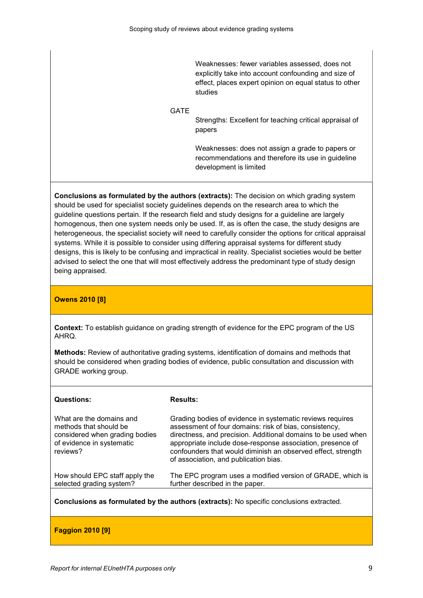Weaknesses: fewer variables assessed, does not explicitly take into account confounding and size of effect, places expert opinion on equal status to other studies

### GATE

Strengths: Excellent for teaching critical appraisal of papers

Weaknesses: does not assign a grade to papers or recommendations and therefore its use in guideline development is limited

Conclusions as formulated by the authors (extracts): The decision on which grading system should be used for specialist society guidelines depends on the research area to which the guideline questions pertain. If the research field and study designs for a guideline are largely homogenous, then one system needs only be used. If, as is often the case, the study designs are heterogeneous, the specialist society will need to carefully consider the options for critical appraisal systems. While it is possible to consider using differing appraisal systems for different study designs, this is likely to be confusing and impractical in reality. Specialist societies would be better advised to select the one that will most effectively address the predominant type of study design being appraised.

# Owens 2010 [8]

Context: To establish guidance on grading strength of evidence for the EPC program of the US AHRQ.

Methods: Review of authoritative grading systems, identification of domains and methods that should be considered when grading bodies of evidence, public consultation and discussion with GRADE working group.

| <b>Questions:</b>                                                                                                             | <b>Results:</b>                                                                                                                                                                                                                                                                                                                                             |
|-------------------------------------------------------------------------------------------------------------------------------|-------------------------------------------------------------------------------------------------------------------------------------------------------------------------------------------------------------------------------------------------------------------------------------------------------------------------------------------------------------|
| What are the domains and<br>methods that should be<br>considered when grading bodies<br>of evidence in systematic<br>reviews? | Grading bodies of evidence in systematic reviews requires<br>assessment of four domains: risk of bias, consistency,<br>directness, and precision. Additional domains to be used when<br>appropriate include dose-response association, presence of<br>confounders that would diminish an observed effect, strength<br>of association, and publication bias. |
| How should EPC staff apply the<br>selected grading system?                                                                    | The EPC program uses a modified version of GRADE, which is<br>further described in the paper.                                                                                                                                                                                                                                                               |

Conclusions as formulated by the authors (extracts): No specific conclusions extracted.

Faggion 2010 [9]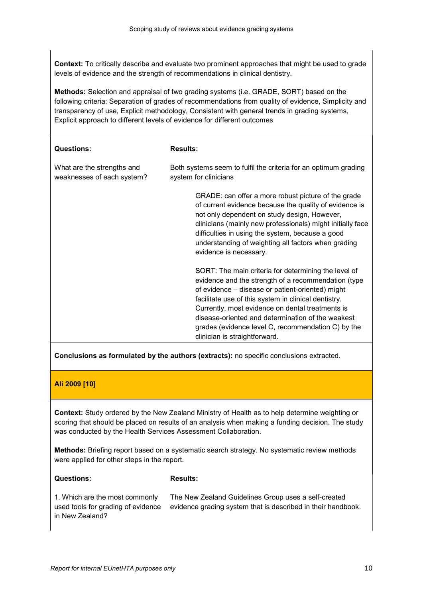Context: To critically describe and evaluate two prominent approaches that might be used to grade levels of evidence and the strength of recommendations in clinical dentistry.

Methods: Selection and appraisal of two grading systems (i.e. GRADE, SORT) based on the following criteria: Separation of grades of recommendations from quality of evidence, Simplicity and transparency of use, Explicit methodology, Consistent with general trends in grading systems, Explicit approach to different levels of evidence for different outcomes

| <b>Questions:</b>                                        | <b>Results:</b>                                                                                                                                                                                                                                                                                                                                                                                                         |
|----------------------------------------------------------|-------------------------------------------------------------------------------------------------------------------------------------------------------------------------------------------------------------------------------------------------------------------------------------------------------------------------------------------------------------------------------------------------------------------------|
| What are the strengths and<br>weaknesses of each system? | Both systems seem to fulfil the criteria for an optimum grading<br>system for clinicians                                                                                                                                                                                                                                                                                                                                |
|                                                          | GRADE: can offer a more robust picture of the grade<br>of current evidence because the quality of evidence is<br>not only dependent on study design, However,<br>clinicians (mainly new professionals) might initially face<br>difficulties in using the system, because a good<br>understanding of weighting all factors when grading<br>evidence is necessary.                                                        |
|                                                          | SORT: The main criteria for determining the level of<br>evidence and the strength of a recommendation (type<br>of evidence – disease or patient-oriented) might<br>facilitate use of this system in clinical dentistry.<br>Currently, most evidence on dental treatments is<br>disease-oriented and determination of the weakest<br>grades (evidence level C, recommendation C) by the<br>clinician is straightforward. |

Conclusions as formulated by the authors (extracts): no specific conclusions extracted.

# Ali 2009 [10]

Context: Study ordered by the New Zealand Ministry of Health as to help determine weighting or scoring that should be placed on results of an analysis when making a funding decision. The study was conducted by the Health Services Assessment Collaboration.

Methods: Briefing report based on a systematic search strategy. No systematic review methods were applied for other steps in the report.

#### Questions:

#### Results:

1. Which are the most commonly used tools for grading of evidence in New Zealand? The New Zealand Guidelines Group uses a self-created evidence grading system that is described in their handbook.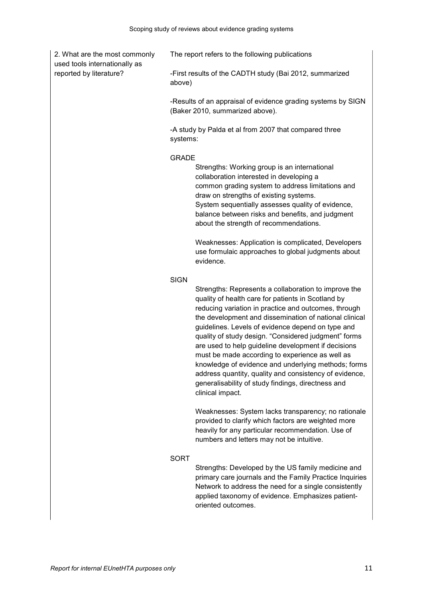| 2. What are the most commonly<br>used tools internationally as |              | The report refers to the following publications                                                                                                                                                                                                                                                                                                                                                                                                                                                                                                                                                                                                |
|----------------------------------------------------------------|--------------|------------------------------------------------------------------------------------------------------------------------------------------------------------------------------------------------------------------------------------------------------------------------------------------------------------------------------------------------------------------------------------------------------------------------------------------------------------------------------------------------------------------------------------------------------------------------------------------------------------------------------------------------|
| reported by literature?                                        | above)       | -First results of the CADTH study (Bai 2012, summarized                                                                                                                                                                                                                                                                                                                                                                                                                                                                                                                                                                                        |
|                                                                |              | -Results of an appraisal of evidence grading systems by SIGN<br>(Baker 2010, summarized above).                                                                                                                                                                                                                                                                                                                                                                                                                                                                                                                                                |
|                                                                | systems:     | -A study by Palda et al from 2007 that compared three                                                                                                                                                                                                                                                                                                                                                                                                                                                                                                                                                                                          |
|                                                                | <b>GRADE</b> | Strengths: Working group is an international<br>collaboration interested in developing a<br>common grading system to address limitations and<br>draw on strengths of existing systems.<br>System sequentially assesses quality of evidence,<br>balance between risks and benefits, and judgment<br>about the strength of recommendations.<br>Weaknesses: Application is complicated, Developers                                                                                                                                                                                                                                                |
|                                                                |              | use formulaic approaches to global judgments about<br>evidence.                                                                                                                                                                                                                                                                                                                                                                                                                                                                                                                                                                                |
|                                                                | <b>SIGN</b>  | Strengths: Represents a collaboration to improve the<br>quality of health care for patients in Scotland by<br>reducing variation in practice and outcomes, through<br>the development and dissemination of national clinical<br>guidelines. Levels of evidence depend on type and<br>quality of study design. "Considered judgment" forms<br>are used to help guideline development if decisions<br>must be made according to experience as well as<br>knowledge of evidence and underlying methods; forms<br>address quantity, quality and consistency of evidence,<br>generalisability of study findings, directness and<br>clinical impact. |
|                                                                |              | Weaknesses: System lacks transparency; no rationale<br>provided to clarify which factors are weighted more<br>heavily for any particular recommendation. Use of<br>numbers and letters may not be intuitive.                                                                                                                                                                                                                                                                                                                                                                                                                                   |
|                                                                | <b>SORT</b>  | Strengths: Developed by the US family medicine and                                                                                                                                                                                                                                                                                                                                                                                                                                                                                                                                                                                             |

primary care journals and the Family Practice Inquiries Network to address the need for a single consistently applied taxonomy of evidence. Emphasizes patientoriented outcomes.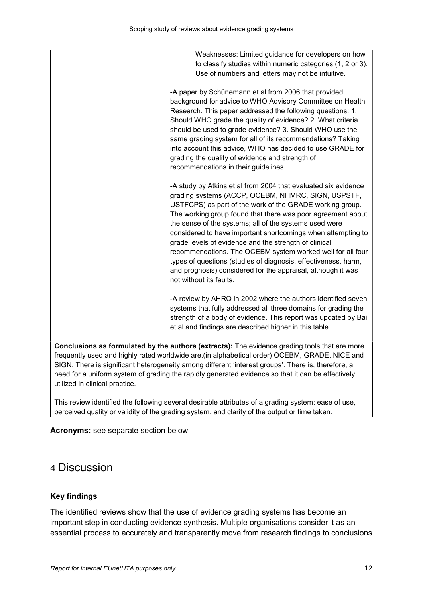Weaknesses: Limited guidance for developers on how to classify studies within numeric categories (1, 2 or 3). Use of numbers and letters may not be intuitive.

-A paper by Schünemann et al from 2006 that provided background for advice to WHO Advisory Committee on Health Research. This paper addressed the following questions: 1. Should WHO grade the quality of evidence? 2. What criteria should be used to grade evidence? 3. Should WHO use the same grading system for all of its recommendations? Taking into account this advice, WHO has decided to use GRADE for grading the quality of evidence and strength of recommendations in their guidelines.

-A study by Atkins et al from 2004 that evaluated six evidence grading systems (ACCP, OCEBM, NHMRC, SIGN, USPSTF, USTFCPS) as part of the work of the GRADE working group. The working group found that there was poor agreement about the sense of the systems; all of the systems used were considered to have important shortcomings when attempting to grade levels of evidence and the strength of clinical recommendations. The OCEBM system worked well for all four types of questions (studies of diagnosis, effectiveness, harm, and prognosis) considered for the appraisal, although it was not without its faults.

-A review by AHRQ in 2002 where the authors identified seven systems that fully addressed all three domains for grading the strength of a body of evidence. This report was updated by Bai et al and findings are described higher in this table.

Conclusions as formulated by the authors (extracts): The evidence grading tools that are more frequently used and highly rated worldwide are.(in alphabetical order) OCEBM, GRADE, NICE and SIGN. There is significant heterogeneity among different 'interest groups'. There is, therefore, a need for a uniform system of grading the rapidly generated evidence so that it can be effectively utilized in clinical practice.

This review identified the following several desirable attributes of a grading system: ease of use, perceived quality or validity of the grading system, and clarity of the output or time taken.

Acronyms: see separate section below.

# 4 Discussion

# Key findings

The identified reviews show that the use of evidence grading systems has become an important step in conducting evidence synthesis. Multiple organisations consider it as an essential process to accurately and transparently move from research findings to conclusions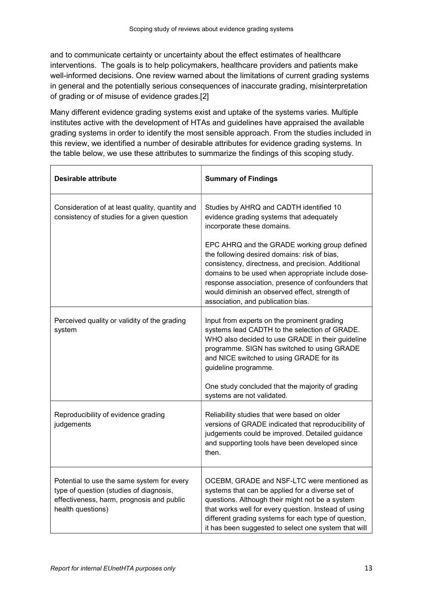and to communicate certainty or uncertainty about the effect estimates of healthcare interventions. The goals is to help policymakers, healthcare providers and patients make well-informed decisions. One review warned about the limitations of current grading systems in general and the potentially serious consequences of inaccurate grading, misinterpretation of grading or of misuse of evidence grades.[2]

Many different evidence grading systems exist and uptake of the systems varies. Multiple institutes active with the development of HTAs and guidelines have appraised the available grading systems in order to identify the most sensible approach. From the studies included in this review, we identified a number of desirable attributes for evidence grading systems. In the table below, we use these attributes to summarize the findings of this scoping study.

| Desirable attribute                                                                                                                                     | <b>Summary of Findings</b>                                                                                                                                                                                                                                                                                                                            |
|---------------------------------------------------------------------------------------------------------------------------------------------------------|-------------------------------------------------------------------------------------------------------------------------------------------------------------------------------------------------------------------------------------------------------------------------------------------------------------------------------------------------------|
| Consideration of at least quality, quantity and<br>consistency of studies for a given question                                                          | Studies by AHRQ and CADTH identified 10<br>evidence grading systems that adequately<br>incorporate these domains.                                                                                                                                                                                                                                     |
|                                                                                                                                                         | EPC AHRQ and the GRADE working group defined<br>the following desired domains: risk of bias,<br>consistency, directness, and precision. Additional<br>domains to be used when appropriate include dose-<br>response association, presence of confounders that<br>would diminish an observed effect, strength of<br>association, and publication bias. |
| Perceived quality or validity of the grading<br>system                                                                                                  | Input from experts on the prominent grading<br>systems lead CADTH to the selection of GRADE.<br>WHO also decided to use GRADE in their guideline<br>programme. SIGN has switched to using GRADE<br>and NICE switched to using GRADE for its<br>guideline programme.                                                                                   |
|                                                                                                                                                         | One study concluded that the majority of grading<br>systems are not validated.                                                                                                                                                                                                                                                                        |
| Reproducibility of evidence grading<br>judgements                                                                                                       | Reliability studies that were based on older<br>versions of GRADE indicated that reproducibility of<br>judgements could be improved. Detailed guidance<br>and supporting tools have been developed since<br>then.                                                                                                                                     |
| Potential to use the same system for every<br>type of question (studies of diagnosis,<br>effectiveness, harm, prognosis and public<br>health questions) | OCEBM, GRADE and NSF-LTC were mentioned as<br>systems that can be applied for a diverse set of<br>questions. Although their might not be a system<br>that works well for every question. Instead of using<br>different grading systems for each type of question,<br>it has been suggested to select one system that will                             |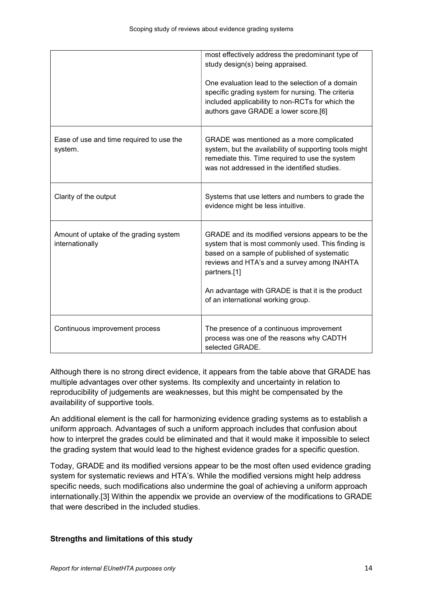|                                                           | most effectively address the predominant type of<br>study design(s) being appraised.<br>One evaluation lead to the selection of a domain<br>specific grading system for nursing. The criteria<br>included applicability to non-RCTs for which the<br>authors gave GRADE a lower score.[6]                         |
|-----------------------------------------------------------|-------------------------------------------------------------------------------------------------------------------------------------------------------------------------------------------------------------------------------------------------------------------------------------------------------------------|
| Ease of use and time required to use the<br>system.       | GRADE was mentioned as a more complicated<br>system, but the availability of supporting tools might<br>remediate this. Time required to use the system<br>was not addressed in the identified studies.                                                                                                            |
| Clarity of the output                                     | Systems that use letters and numbers to grade the<br>evidence might be less intuitive.                                                                                                                                                                                                                            |
| Amount of uptake of the grading system<br>internationally | GRADE and its modified versions appears to be the<br>system that is most commonly used. This finding is<br>based on a sample of published of systematic<br>reviews and HTA's and a survey among INAHTA<br>partners.[1]<br>An advantage with GRADE is that it is the product<br>of an international working group. |
| Continuous improvement process                            | The presence of a continuous improvement<br>process was one of the reasons why CADTH<br>selected GRADE.                                                                                                                                                                                                           |

Although there is no strong direct evidence, it appears from the table above that GRADE has multiple advantages over other systems. Its complexity and uncertainty in relation to reproducibility of judgements are weaknesses, but this might be compensated by the availability of supportive tools.

An additional element is the call for harmonizing evidence grading systems as to establish a uniform approach. Advantages of such a uniform approach includes that confusion about how to interpret the grades could be eliminated and that it would make it impossible to select the grading system that would lead to the highest evidence grades for a specific question.

Today, GRADE and its modified versions appear to be the most often used evidence grading system for systematic reviews and HTA's. While the modified versions might help address specific needs, such modifications also undermine the goal of achieving a uniform approach internationally.[3] Within the appendix we provide an overview of the modifications to GRADE that were described in the included studies.

# Strengths and limitations of this study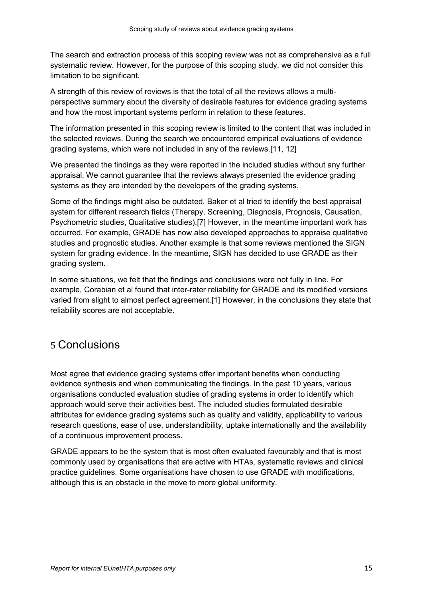The search and extraction process of this scoping review was not as comprehensive as a full systematic review. However, for the purpose of this scoping study, we did not consider this limitation to be significant.

A strength of this review of reviews is that the total of all the reviews allows a multiperspective summary about the diversity of desirable features for evidence grading systems and how the most important systems perform in relation to these features.

The information presented in this scoping review is limited to the content that was included in the selected reviews. During the search we encountered empirical evaluations of evidence grading systems, which were not included in any of the reviews.[11, 12]

We presented the findings as they were reported in the included studies without any further appraisal. We cannot guarantee that the reviews always presented the evidence grading systems as they are intended by the developers of the grading systems.

Some of the findings might also be outdated. Baker et al tried to identify the best appraisal system for different research fields (Therapy, Screening, Diagnosis, Prognosis, Causation, Psychometric studies, Qualitative studies).[7] However, in the meantime important work has occurred. For example, GRADE has now also developed approaches to appraise qualitative studies and prognostic studies. Another example is that some reviews mentioned the SIGN system for grading evidence. In the meantime, SIGN has decided to use GRADE as their grading system.

In some situations, we felt that the findings and conclusions were not fully in line. For example, Corabian et al found that inter-rater reliability for GRADE and its modified versions varied from slight to almost perfect agreement.[1] However, in the conclusions they state that reliability scores are not acceptable.

# 5 Conclusions

Most agree that evidence grading systems offer important benefits when conducting evidence synthesis and when communicating the findings. In the past 10 years, various organisations conducted evaluation studies of grading systems in order to identify which approach would serve their activities best. The included studies formulated desirable attributes for evidence grading systems such as quality and validity, applicability to various research questions, ease of use, understandibility, uptake internationally and the availability of a continuous improvement process.

GRADE appears to be the system that is most often evaluated favourably and that is most commonly used by organisations that are active with HTAs, systematic reviews and clinical practice guidelines. Some organisations have chosen to use GRADE with modifications, although this is an obstacle in the move to more global uniformity.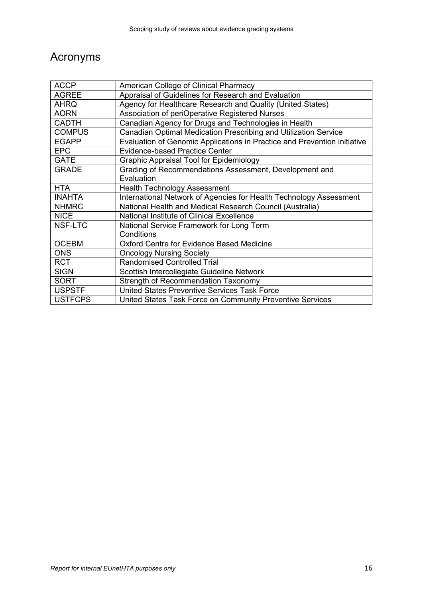# Acronyms

| <b>ACCP</b>    | American College of Clinical Pharmacy                                    |
|----------------|--------------------------------------------------------------------------|
| <b>AGREE</b>   | Appraisal of Guidelines for Research and Evaluation                      |
| <b>AHRQ</b>    | Agency for Healthcare Research and Quality (United States)               |
| <b>AORN</b>    | Association of periOperative Registered Nurses                           |
| <b>CADTH</b>   | Canadian Agency for Drugs and Technologies in Health                     |
| <b>COMPUS</b>  | Canadian Optimal Medication Prescribing and Utilization Service          |
| <b>EGAPP</b>   | Evaluation of Genomic Applications in Practice and Prevention initiative |
| <b>EPC</b>     | <b>Evidence-based Practice Center</b>                                    |
| <b>GATE</b>    | <b>Graphic Appraisal Tool for Epidemiology</b>                           |
| <b>GRADE</b>   | Grading of Recommendations Assessment, Development and                   |
|                | Evaluation                                                               |
| <b>HTA</b>     | <b>Health Technology Assessment</b>                                      |
| <b>INAHTA</b>  | International Network of Agencies for Health Technology Assessment       |
| <b>NHMRC</b>   | National Health and Medical Research Council (Australia)                 |
| <b>NICE</b>    | National Institute of Clinical Excellence                                |
| NSF-LTC        | National Service Framework for Long Term                                 |
|                | Conditions                                                               |
| <b>OCEBM</b>   | <b>Oxford Centre for Evidence Based Medicine</b>                         |
| <b>ONS</b>     | <b>Oncology Nursing Society</b>                                          |
| <b>RCT</b>     | <b>Randomised Controlled Trial</b>                                       |
| <b>SIGN</b>    | Scottish Intercollegiate Guideline Network                               |
| <b>SORT</b>    | <b>Strength of Recommendation Taxonomy</b>                               |
| <b>USPSTF</b>  | United States Preventive Services Task Force                             |
| <b>USTFCPS</b> | United States Task Force on Community Preventive Services                |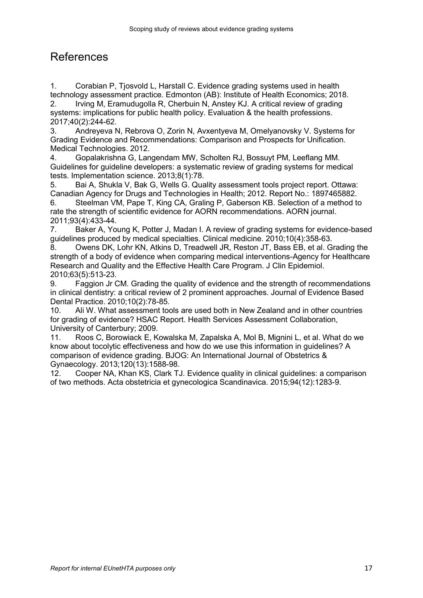# References

1. Corabian P, Tjosvold L, Harstall C. Evidence grading systems used in health technology assessment practice. Edmonton (AB): Institute of Health Economics; 2018. 2. Irving M, Eramudugolla R, Cherbuin N, Anstey KJ. A critical review of grading systems: implications for public health policy. Evaluation & the health professions. 2017;40(2):244-62.

3. Andreyeva N, Rebrova O, Zorin N, Avxentyeva M, Omelyanovsky V. Systems for Grading Evidence and Recommendations: Comparison and Prospects for Unification. Medical Technologies. 2012.

4. Gopalakrishna G, Langendam MW, Scholten RJ, Bossuyt PM, Leeflang MM. Guidelines for guideline developers: a systematic review of grading systems for medical tests. Implementation science. 2013;8(1):78.

5. Bai A, Shukla V, Bak G, Wells G. Quality assessment tools project report. Ottawa: Canadian Agency for Drugs and Technologies in Health; 2012. Report No.: 1897465882. 6. Steelman VM, Pape T, King CA, Graling P, Gaberson KB. Selection of a method to

rate the strength of scientific evidence for AORN recommendations. AORN journal. 2011;93(4):433-44.

7. Baker A, Young K, Potter J, Madan I. A review of grading systems for evidence-based guidelines produced by medical specialties. Clinical medicine. 2010;10(4):358-63.

8. Owens DK, Lohr KN, Atkins D, Treadwell JR, Reston JT, Bass EB, et al. Grading the strength of a body of evidence when comparing medical interventions-Agency for Healthcare Research and Quality and the Effective Health Care Program. J Clin Epidemiol. 2010;63(5):513-23.

9. Faggion Jr CM. Grading the quality of evidence and the strength of recommendations in clinical dentistry: a critical review of 2 prominent approaches. Journal of Evidence Based Dental Practice. 2010;10(2):78-85.

10. Ali W. What assessment tools are used both in New Zealand and in other countries for grading of evidence? HSAC Report. Health Services Assessment Collaboration, University of Canterbury; 2009.

11. Roos C, Borowiack E, Kowalska M, Zapalska A, Mol B, Mignini L, et al. What do we know about tocolytic effectiveness and how do we use this information in guidelines? A comparison of evidence grading. BJOG: An International Journal of Obstetrics & Gynaecology. 2013;120(13):1588-98.

12. Cooper NA, Khan KS, Clark TJ. Evidence quality in clinical guidelines: a comparison of two methods. Acta obstetricia et gynecologica Scandinavica. 2015;94(12):1283-9.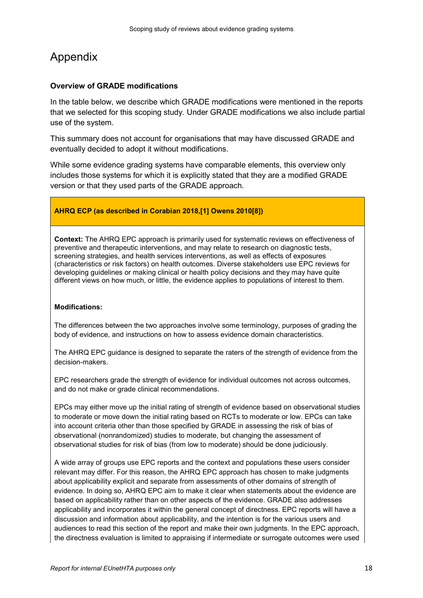# Appendix

# Overview of GRADE modifications

In the table below, we describe which GRADE modifications were mentioned in the reports that we selected for this scoping study. Under GRADE modifications we also include partial use of the system.

This summary does not account for organisations that may have discussed GRADE and eventually decided to adopt it without modifications.

While some evidence grading systems have comparable elements, this overview only includes those systems for which it is explicitly stated that they are a modified GRADE version or that they used parts of the GRADE approach.

# AHRQ ECP (as described in Corabian 2018,[1] Owens 2010[8])

Context: The AHRQ EPC approach is primarily used for systematic reviews on effectiveness of preventive and therapeutic interventions, and may relate to research on diagnostic tests, screening strategies, and health services interventions, as well as effects of exposures (characteristics or risk factors) on health outcomes. Diverse stakeholders use EPC reviews for developing guidelines or making clinical or health policy decisions and they may have quite different views on how much, or little, the evidence applies to populations of interest to them.

### Modifications:

The differences between the two approaches involve some terminology, purposes of grading the body of evidence, and instructions on how to assess evidence domain characteristics.

The AHRQ EPC guidance is designed to separate the raters of the strength of evidence from the decision-makers.

EPC researchers grade the strength of evidence for individual outcomes not across outcomes, and do not make or grade clinical recommendations.

EPCs may either move up the initial rating of strength of evidence based on observational studies to moderate or move down the initial rating based on RCTs to moderate or low. EPCs can take into account criteria other than those specified by GRADE in assessing the risk of bias of observational (nonrandomized) studies to moderate, but changing the assessment of observational studies for risk of bias (from low to moderate) should be done judiciously.

A wide array of groups use EPC reports and the context and populations these users consider relevant may differ. For this reason, the AHRQ EPC approach has chosen to make judgments about applicability explicit and separate from assessments of other domains of strength of evidence. In doing so, AHRQ EPC aim to make it clear when statements about the evidence are based on applicability rather than on other aspects of the evidence. GRADE also addresses applicability and incorporates it within the general concept of directness. EPC reports will have a discussion and information about applicability, and the intention is for the various users and audiences to read this section of the report and make their own judgments. In the EPC approach, the directness evaluation is limited to appraising if intermediate or surrogate outcomes were used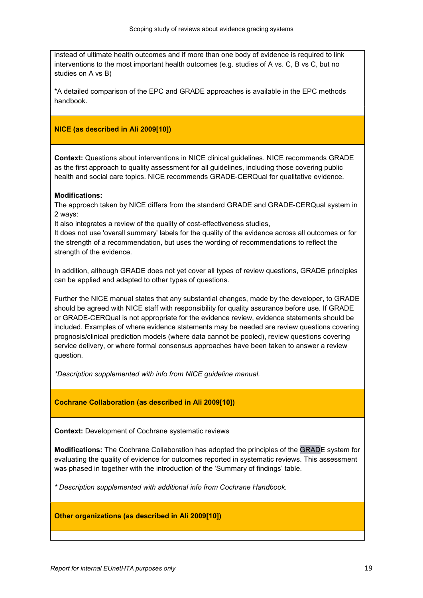instead of ultimate health outcomes and if more than one body of evidence is required to link interventions to the most important health outcomes (e.g. studies of A vs. C, B vs C, but no studies on A vs B)

\*A detailed comparison of the EPC and GRADE approaches is available in the EPC methods handbook.

# NICE (as described in Ali 2009[10])

Context: Questions about interventions in NICE clinical guidelines. NICE recommends GRADE as the first approach to quality assessment for all guidelines, including those covering public health and social care topics. NICE recommends GRADE-CERQual for qualitative evidence.

### Modifications:

The approach taken by NICE differs from the standard GRADE and GRADE-CERQual system in 2 ways:

It also integrates a review of the quality of cost-effectiveness studies,

It does not use 'overall summary' labels for the quality of the evidence across all outcomes or for the strength of a recommendation, but uses the wording of recommendations to reflect the strength of the evidence.

In addition, although GRADE does not yet cover all types of review questions, GRADE principles can be applied and adapted to other types of questions.

Further the NICE manual states that any substantial changes, made by the developer, to GRADE should be agreed with NICE staff with responsibility for quality assurance before use. If GRADE or GRADE-CERQual is not appropriate for the evidence review, evidence statements should be included. Examples of where evidence statements may be needed are review questions covering prognosis/clinical prediction models (where data cannot be pooled), review questions covering service delivery, or where formal consensus approaches have been taken to answer a review question.

\*Description supplemented with info from NICE guideline manual.

### Cochrane Collaboration (as described in Ali 2009[10])

Context: Development of Cochrane systematic reviews

Modifications: The Cochrane Collaboration has adopted the principles of the GRADE system for evaluating the quality of evidence for outcomes reported in systematic reviews. This assessment was phased in together with the introduction of the 'Summary of findings' table.

\* Description supplemented with additional info from Cochrane Handbook.

### Other organizations (as described in Ali 2009[10])